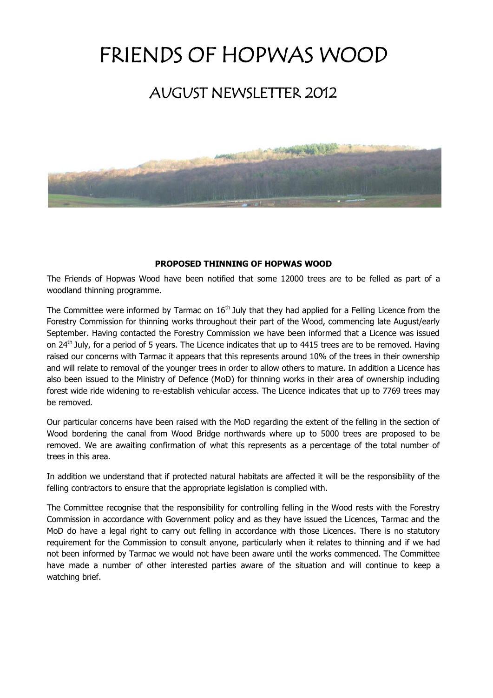# FRIENDS OF HOPWAS WOOD

## AUGUST NEWSLETTER 2012



#### **PROPOSED THINNING OF HOPWAS WOOD**

The Friends of Hopwas Wood have been notified that some 12000 trees are to be felled as part of a woodland thinning programme.

The Committee were informed by Tarmac on 16<sup>th</sup> July that they had applied for a Felling Licence from the Forestry Commission for thinning works throughout their part of the Wood, commencing late August/early September. Having contacted the Forestry Commission we have been informed that a Licence was issued on 24<sup>th</sup> July, for a period of 5 years. The Licence indicates that up to 4415 trees are to be removed. Having raised our concerns with Tarmac it appears that this represents around 10% of the trees in their ownership and will relate to removal of the younger trees in order to allow others to mature. In addition a Licence has also been issued to the Ministry of Defence (MoD) for thinning works in their area of ownership including forest wide ride widening to re-establish vehicular access. The Licence indicates that up to 7769 trees may be removed.

Our particular concerns have been raised with the MoD regarding the extent of the felling in the section of Wood bordering the canal from Wood Bridge northwards where up to 5000 trees are proposed to be removed. We are awaiting confirmation of what this represents as a percentage of the total number of trees in this area.

In addition we understand that if protected natural habitats are affected it will be the responsibility of the felling contractors to ensure that the appropriate legislation is complied with.

The Committee recognise that the responsibility for controlling felling in the Wood rests with the Forestry Commission in accordance with Government policy and as they have issued the Licences, Tarmac and the MoD do have a legal right to carry out felling in accordance with those Licences. There is no statutory requirement for the Commission to consult anyone, particularly when it relates to thinning and if we had not been informed by Tarmac we would not have been aware until the works commenced. The Committee have made a number of other interested parties aware of the situation and will continue to keep a watching brief.